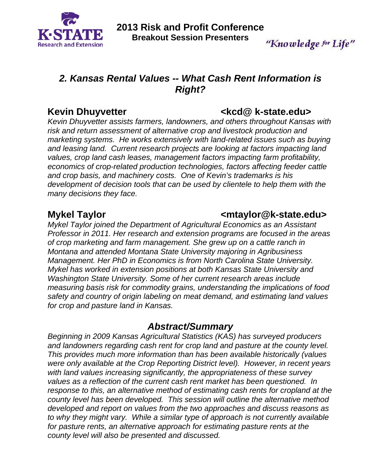

# "Knowledge for Life"

# *2. Kansas Rental Values -- What Cash Rent Information is Right?*

*Kevin Dhuyvetter assists farmers, landowners, and others throughout Kansas with risk and return assessment of alternative crop and livestock production and marketing systems. He works extensively with land-related issues such as buying and leasing land. Current research projects are looking at factors impacting land values, crop land cash leases, management factors impacting farm profitability, economics of crop-related production technologies, factors affecting feeder cattle and crop basis, and machinery costs. One of Kevin's trademarks is his development of decision tools that can be used by clientele to help them with the many decisions they face.* 

# Mykel Taylor **Music Community Community Community Community Community Community Community Community Community Community Community Community Community Community Community Community Community Community Community Community Co**

*Mykel Taylor joined the Department of Agricultural Economics as an Assistant Professor in 2011. Her research and extension programs are focused in the areas of crop marketing and farm management. She grew up on a cattle ranch in Montana and attended Montana State University majoring in Agribusiness Management. Her PhD in Economics is from North Carolina State University. Mykel has worked in extension positions at both Kansas State University and Washington State University. Some of her current research areas include measuring basis risk for commodity grains, understanding the implications of food safety and country of origin labeling on meat demand, and estimating land values for crop and pasture land in Kansas.* 

# *Abstract/Summary*

*Beginning in 2009 Kansas Agricultural Statistics (KAS) has surveyed producers and landowners regarding cash rent for crop land and pasture at the county level. This provides much more information than has been available historically (values were only available at the Crop Reporting District level). However, in recent years with land values increasing significantly, the appropriateness of these survey values as a reflection of the current cash rent market has been questioned. In response to this, an alternative method of estimating cash rents for cropland at the county level has been developed. This session will outline the alternative method developed and report on values from the two approaches and discuss reasons as to why they might vary. While a similar type of approach is not currently available for pasture rents, an alternative approach for estimating pasture rents at the county level will also be presented and discussed.* 

# Kevin Dhuyvetter **Kevin Dhuyvetter Kevin Dhuyvetter Kevin Blue Levin Blue Ave**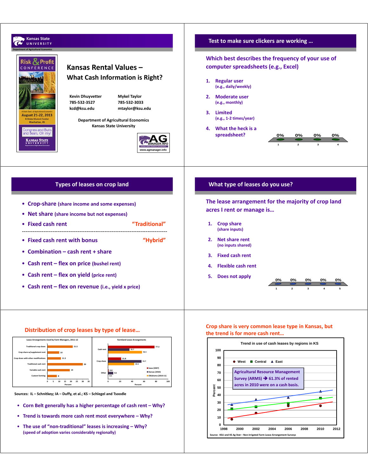

**Source: KSU and KS Ag Stat – Non‐Irrigated Farm Lease Arrangement Surveys**

**Percent**

**1998 2000 2002 2004 2006 2008 2010 2012**

**Sources: IL – Schnitkey; IA – Duffy, et al.; KS – Schlegel and Tsoodle**

- **Corn Belt generally has a higher percentage of cash rent Why?**
- **Trend is towards more cash rent most everywhere Why?**
- **The use of "non‐traditional" leases is increasing Why? (speed of adoption varies considerably regionally)**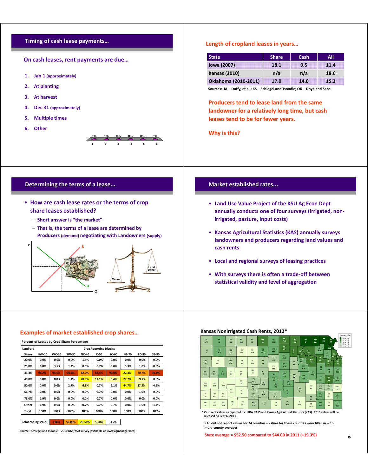## **Timing of cash lease payments…**

**On cash leases, rent payments are due…**

- **1. Jan 1 (approximately)**
- **2. At planting**
- **3. At harvest**
- **4. Dec 31 (approximately)**
- **5. Multiple times**
- **6. Other**

### **123456 0% 0% 0% 0% 0% 0%**

## **Determining the terms of a lease...**

- **How are cash lease rates or the terms of crop share leases established?**
	- **Short answer is "the market"**
	- **That is, the terms of a lease are determined by Producers (demand) negotiating with Landowners (supply)**



# **Length of cropland leases in years…**

| <b>State</b>         | <b>Share</b> | Cash | All  |
|----------------------|--------------|------|------|
| <b>Iowa (2007)</b>   | 18.1         | 9.5  | 11.4 |
| <b>Kansas (2010)</b> | n/a          | n/a  | 18.6 |
| Oklahoma (2010-2011) | 17.0         | 14.0 | 15.3 |

**Sources: IA – Duffy, et al.; KS – Schlegel and Tsoodle; OK – Doye and Sahs**

**Producers tend to lease land from the same landowner for a relatively long time, but cash leases tend to be for fewer years.** 

**Why is this?**

# **Market established rates...**

- **Land Use Value Project of the KSU Ag Econ Dept annually conducts one of four surveys (irrigated, non‐ irrigated, pasture, input costs)**
- **Kansas Agricultural Statistics (KAS) annually surveys landowners and producers regarding land values and cash rents**
- **Local and regional surveys of leasing practices**
- **With surveys there is often a trade‐off between statistical validity and level of aggregation**

### **Examples of market established crop shares…**

| Percent of Leases by Crop Share Percentage |       |              |        |              |        |         |              |              |              |  |  |  |
|--------------------------------------------|-------|--------------|--------|--------------|--------|---------|--------------|--------------|--------------|--|--|--|
| Landlord<br><b>Crop Reporting District</b> |       |              |        |              |        |         |              |              |              |  |  |  |
| Share                                      | NW-10 | <b>WC-20</b> | SW-30  | <b>NC-40</b> | $C-50$ | $SC-60$ | <b>NE-70</b> | <b>EC-80</b> | <b>SE-90</b> |  |  |  |
| 20.0%                                      | 0.0%  | 0.0%         | 0.0%   | 1.4%         | 0.0%   | 0.0%    | 0.0%         | 0.0%         | 0.0%         |  |  |  |
| 25.0%                                      | 0.0%  | 3.5%         | 1.4%   | 0.0%         | 0.7%   | 0.0%    | 5.3%         | 1.0%         | 0.0%         |  |  |  |
| 33.3%                                      | 96.2% | 96.5%        | 94.5%  | 62.7%        | 83.4%  | 90.8%   | 22.3%        | 70.7%        | 94.4%        |  |  |  |
| 40.0%                                      | 0.0%  | 0.0%         | 1.4%   | 28.9%        | 13.1%  | 6.4%    | 27.7%        | 9.1%         | 0.0%         |  |  |  |
| 50.0%                                      | 0.0%  | 0.0%         | 2.7%   | 6.3%         | 0.7%   | 2.1%    | 44.7%        | 17.2%        | 4.2%         |  |  |  |
| 66.7%                                      | 0.0%  | 0.0%         | 0.0%   | 0.0%         | 0.7%   | 0.0%    | 0.0%         | 1.0%         | 0.0%         |  |  |  |
| 75.0%                                      | 1.9%  | 0.0%         | 0.0%   | 0.0%         | 0.7%   | 0.0%    | 0.0%         | 0.0%         | 0.0%         |  |  |  |
| Other                                      | 1.9%  | 0.0%         | 0.0%   | 0.7%         | 0.7%   | 0.7%    | 0.0%         | 1.0%         | 1.4%         |  |  |  |
| Total                                      | 100%  | 100%         | 100%   | 100%         | 100%   | 100%    | 100%         | 100%         | 100%         |  |  |  |
|                                            |       |              |        |              |        |         |              |              |              |  |  |  |
| <b>Color coding scale</b>                  |       | >80%         | 50-80% | 20-50%       | 5-20%  | < 5%    |              |              |              |  |  |  |

**Source: Schlegel and Tsoodle ‐‐ 2010 KAS/KSU survey (available at www.agmanager.info)**

#### **Kansas Nonirrigated Cash Rents, 2012\***

| ov<br>47.5             |                   | <b>PA</b><br>H       | $\infty$<br>48                | <b>NT</b><br>40.5            | $\overline{R}$<br>$\rightarrow$ | 188<br>$\bullet$                  | m<br>54.9                  | $\bullet$<br>73.3      | ws<br>$\overline{\mathbf{n}}$ | <b>MS</b><br>$\mathbf{r}$    | <b>NM</b><br>119  | $\blacksquare$<br>160 | $\omega$<br>141         | <b>PRODUCED TO SEE</b><br><b>B</b> 30 to 160<br>60 to 30<br>٠<br>E<br>50 ta 60<br>B<br>40 to 50 |
|------------------------|-------------------|----------------------|-------------------------------|------------------------------|---------------------------------|-----------------------------------|----------------------------|------------------------|-------------------------------|------------------------------|-------------------|-----------------------|-------------------------|-------------------------------------------------------------------------------------------------|
| <b>DK</b><br>41        |                   | TH.<br>52.5          | <b>HD</b><br>47.5             | OH<br>38.5                   | <b>RO</b><br>33.5               | kon.<br>56.9                      | <b>DAG</b><br>$\mathbf{m}$ | $\bullet$<br>$\bullet$ | $\bullet$<br>$\bullet$        | m<br>۰<br>so.s               |                   | m<br>13.3             | AT.<br>98.5<br>п        | 25 ha 40                                                                                        |
| WA                     | <b>LS</b>         |                      | $d\Phi$                       | TR                           | $\mathbf{u}$                    | <b>RS</b>                         | <b>LC</b><br>49.5          | CT<br>m                |                               | ٠<br><b>OT</b><br><b>ALC</b> | يستعمل<br>wa      | 18<br>ū               | m<br><b>DG</b>          | w<br>$W_{41,1}$<br>41.5<br>$\overline{10}$                                                      |
| 42.3                   | 29.5              |                      | 40.3                          | 36                           | 39.5                            | ×                                 | EW                         | <b>TA</b><br>54.5      | <b>DK</b><br>$\rightarrow$    | <b>AME</b>                   | $\blacksquare$    | $\sim$                | $\bullet$               | w                                                                                               |
| $\overline{a}$<br>42.5 | WH<br>41.5        | œ<br><b>MAS</b>      | $\overline{\mathbf{u}}$<br>15 | <b>NS</b><br>22              | RM.<br>34                       | <b>ET</b><br>$\blacktriangleleft$ | 39.9<br>œ                  | <b>DATE</b>            | <b>MAG</b>                    | <b>BES</b>                   | m<br>m            | œ                     | m.                      | <b>ANT</b><br>50.5                                                                              |
|                        |                   |                      |                               | HG                           | $\overline{r}$<br>dks.          | s.                                | 57.5<br>≂                  | 54.5<br>m              | 44.5                          | п<br>s.                      |                   | o<br>37.3             | <b>AN</b><br>$\bullet$  | $\mathbf{u}$<br>50.5                                                                            |
| HAR<br>30.5            | <b>KK</b><br>30.5 | $\mathbf{r}$<br>80.5 | <b>GY</b>                     | 12                           | <b>CD</b><br>$\bullet$          | 45.5                              | <b>AN</b><br>m             | 34.3                   |                               | <b>BU</b>                    | <b>dray</b><br>12 | <b>WD</b><br>44.5     | $\mathbf{H}$<br>43.5    | $\blacksquare$<br>$\mathbf{H}$                                                                  |
| $\mathbf{H}$<br>15     | oT.<br>35.5       | <b>MS</b><br>83.5    | 33.3                          | <b>ro</b><br>$\overline{12}$ | <b>KW</b><br>47.5               | $\overline{r}$<br>47.8            | <b>KBA</b><br>44.5         | 50<br>n                |                               | $\overline{a}$               | $\alpha$          | <b>MT</b><br>33.5     | NO.<br><b>HAN</b>       | $\alpha$<br>m                                                                                   |
| <b>AFT</b><br>26       | <b>SV</b><br>27.5 | <b>SW</b><br>30.5    | ME<br>$\mathbf{H}$            | CA<br>30.5                   | <b>CLA</b><br>47.5              | <b>BA</b><br>$\bullet$            | HP<br>33                   | su<br>44.5             |                               | $\alpha$<br>35.5             | 41<br>co<br>85.5  | <b>MS</b><br>M3       | $\mathbf{u}$<br>$_{32}$ | $\alpha$<br>œ                                                                                   |

\* Cash rent values as reported by USDA NASS and Kansas Agricultural Statistics (KAS). 2013 values will be<br>released on Sept 6, 2013.

**KAS did not report values for 24 counties – values for these counties were filled in with multi‐county averages.**

#### **State average = \$52.50 compared to \$44.00 in 2011 (+19.3%)**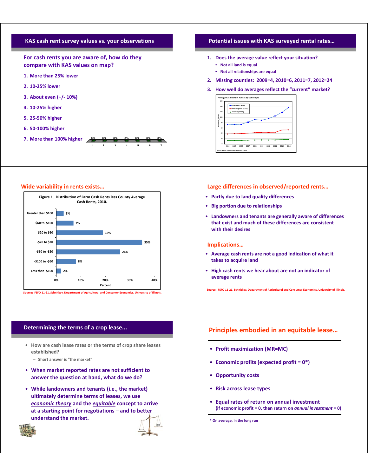

### **Wide variability in rents exists…**



# **Determining the terms of a crop lease...**

- **How are cash lease rates or the terms of crop share leases established?**
	- **Short answer is "the market"**
- **When market reported rates are not sufficient to answer the question at hand, what do we do?**
- **While landowners and tenants (i.e., the market) ultimately determine terms of leases, we use** *economic theory* **and the** *equitable* **concept to arrive at a starting point for negotiations – and to better understand the market.**



# **Tenant Land owner**

# **Potential issues with KAS surveyed rental rates…**

- **1. Does the average value reflect your situation?**
	- **Not all land is equal**
	- **Not all relationships are equal**
- **2. Missing counties: 2009=4, 2010=6, 2011=7, 2012=24**

### **3. How well do averages reflect the "current" market?**



### **Large differences in observed/reported rents…**

- **Partly due to land quality differences**
- **Big portion due to relationships**
- **Landowners and tenants are generally aware of differences that exist and much of these differences are consistent with their desires**

### **Implications…**

- **Average cash rents are not a good indication of what it takes to acquire land**
- **High cash rents we hear about are not an indicator of average rents**

**Source: FEFO 11‐21, Schnitkey, Department of Agricultural and Consumer Economics, University of Illinois.**

# **Principles embodied in an equitable lease…**

- **Profit maximization (MR=MC)**
- **Economic profits (expected profit = 0\*)**
- **Opportunity costs**
- **Risk across lease types**
- **Equal rates of return on annual investment (if economic profit = 0, then return on** *annual investment* **= 0)**

**\* On average, in the long run**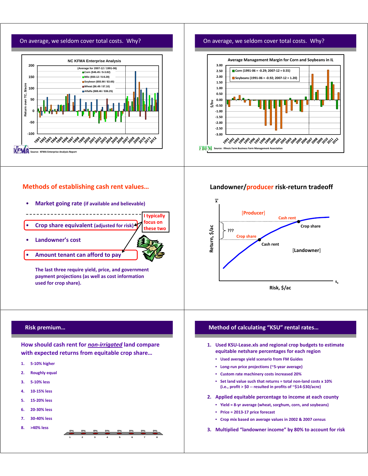# On average, we seldom cover total costs. Why?



# **Methods of establishing cash rent values…**

- **Market going rate (if available and believable)** --------------------------
- **Crop share equivalent (adjusted for risk) I typically focus on these two**
- **Landowner's cost**



**The last three require yield, price, and government payment projections (as well as cost information used for crop share).**

# **Risk premium…**

**How should cash rent for** *non‐irrigated* **land compare with expected returns from equitable crop share…**

> **12345678 0% 0% 0% 0% 0% 0% 0% 0%**

- **1. 5‐10% higher**
- **2. Roughly equal**
- **3. 5‐10% less**
- **4. 10‐15% less**
- **5. 15‐20% less**
- **6. 20‐30% less**
- **7. 30‐40% less**
- **8. >40% less**

# On average, we seldom cover total costs. Why?



# **Landowner/producer risk‐return tradeoff**



# **Method of calculating "KSU" rental rates…**

- **1. Used KSU‐Lease.xls and regional crop budgets to estimate equitable netshare percentages for each region**
	- **Used average yield scenario from FM Guides**
	- **Long‐run price projections (~5‐year average)**
	- **Custom rate machinery costs increased 20%**
	- **Set land value such that returns = total non‐land costs x 10% (i.e., profit > \$0 ‐‐ resulted in profits of ~\$14‐\$30/acre)**
- **2. Applied equitable percentage to income at each county**
	- **Yield = 8‐yr average (wheat, sorghum, corn, and soybeans)**
	- **Price = 2013‐17 price forecast**
	- **Crop mix based on average values in 2002 & 2007 census**
- **3. Multiplied "landowner income" by 80% to account for risk**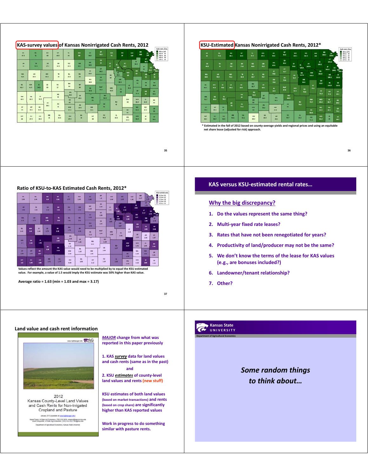

**35**

#### **KSU‐Estimated Kansas Nonirrigated Cash Rents, 2012\***



Estimated in the fall of 2012 based on county-average yields and regional prices and using an equital **net share lease (adjusted for risk) approach.**

**36**

# **Ratio of KSU‐to‐KAS Estimated Cash Rents, 2012\***

| ov<br><b>Las</b>     |                    | <b>BA</b><br>1.44               | ĸ<br><b>H</b>     | <b>HT</b><br>2.85 | ×.<br><b>LTF</b>  | SM<br>1.45                      | m<br>144          | $\mathbf{r}$<br>1.1             | <b>WS</b><br>3.44               | <b>ME</b><br><b>TELE</b> | NM<br>1.34          | $\blacksquare$<br>127 | o<br><b>EGL</b>         | $221 + 32$<br>$1.8 + 2.2$<br>s<br>п<br>$1.5 + 1.1$<br>H<br>$1.2 + 1.1$ |
|----------------------|--------------------|---------------------------------|-------------------|-------------------|-------------------|---------------------------------|-------------------|---------------------------------|---------------------------------|--------------------------|---------------------|-----------------------|-------------------------|------------------------------------------------------------------------|
| m<br><b>TM</b>       |                    | TH.<br>1.88                     | <b>HE</b><br>186  | <b>GH</b><br>186  | <b>BO</b><br>134  | $\overline{0}$<br>1.32          | <b>MC</b><br>1.48 | $\infty$<br>1.48<br>m           | $\overline{\mathbf{G}}$<br>1.41 | ٠                        | $\mathbf{r}$<br>244 | 扁<br>2.52             | AT.<br>1.73             | $0.2 + 1.1$                                                            |
| <b>VIA</b>           | <b>IE</b>          |                                 | $\infty$          | TR.               | $\mathbf{a}$      | <b>es</b>                       | <b>LC</b><br>1.11 | <b>OT</b><br>1.26               | m                               | 1.82<br>$\alpha$<br>2.81 | ws<br>134           | 18<br>2.27            | 337<br>œ                | w<br>$\mathbf{w}_{\mathbf{u}}$<br>2.43<br>.,<br>ю.                     |
| 111                  | 1.79               |                                 | 186               | 1.92              | <b>TAT</b>        | 141                             | <b>TW</b>         | $\overline{\mathbf{u}}$<br>1.33 | 1.63                            | <b>ME</b>                |                     | $\alpha$              | 2.26                    | 174                                                                    |
| <b>GL</b><br>141     | <b>WH</b><br>18    | $\overline{\mathbf{x}}$<br>1.44 | π<br>1.78         | n3<br>2.35        | m<br>171          | m<br>1.51                       | 1.79<br><b>BC</b> | McP.                            | <b>MAK</b>                      | LET.                     | XX<br>1.18          | 138                   | $\mathbf{m}$<br>2.09    | M<br>2.48                                                              |
|                      |                    |                                 |                   | HO                | PN<br>1.42        |                                 | 1.21              | 1.24                            | 1.44                            | $\alpha$<br>131          |                     | $\sigma$<br>1.24      | AN<br>1.14              | <b>CH</b><br>1.87.                                                     |
| <b>HMA</b><br>$+1.7$ | m.<br>2.02         | $\mathbf{r}$<br>2.31            | $\sim$            | 101<br>10         | ED.<br>1.18       | $\overline{\mathbf{u}}$<br>1.24 | <b>RN</b><br>1.11 | 100<br>1.21<br>39               |                                 | $\mathbf{w}$             | <b>GW</b><br>227    | wo<br>141             | $\overline{11}$<br>1.49 | 2.02                                                                   |
| <b>IT</b><br>149     | <b>COL</b><br>1.39 | m<br>1.87                       | 1.85              | 2.26              | <b>KW</b><br>1.09 | $\overline{r}$<br>1.18          | <b>VM</b><br>1.03 | 1.08                            |                                 | <b>EXT</b>               | $\alpha$<br>1.55    | <b>WL</b><br>1.16     | <b>NO</b><br>1.82       | <b>CR</b><br>1.21                                                      |
| <b>MT</b><br>18      | w<br>1.95          | <b>EW</b><br>3.83               | <b>ME</b><br>1.73 | <b>EA</b><br>1.77 | CLL<br>0.54       | <b>BA</b><br>1.03               | <b>HP</b><br>1.12 | su<br>1.14                      |                                 | $\alpha$<br><b>EM</b>    | cq<br>1.44          | MS<br>3.32            | $\mathbf{u}$<br>186     | $\alpha$<br>1.18                                                       |

**Values reflect the amount the KAS value would need to be multiplied by to equal the KSU estimated** value. For example, a value of 1.5 would imply the KSU estimate was 50% higher than KAS value.

**Average ratio = 1.63 (min = 1.03 and max = 3.17)**

**37**

# **KAS versus KSU‐estimated rental rates…**

### **Why the big discrepancy?**

- **1. Do the values represent the same thing?**
- **2. Multi‐year fixed rate leases?**
- **3. Rates that have not been renegotiated for years?**
- **4. Productivity of land/producer may not be the same?**
- **5. We don't know the terms of the lease for KAS values (e.g., are bonuses included?)**
- **6. Landowner/tenant relationship?**
- **7. Other?**

#### **Land value and cash rent information**



Kansas County-Level Land Values<br>and Cash Rents for Non-Irrigated Cropland and Pasture January 2013 cavaitable at yours Aght

Mykel Taylor, K-State Ag Economics, (705) 532-3033, mtaylor@agecon.ksiz.edu<br>Kevin Dhuyvetter, K-State Ag Economics, (785) 532-3527, kod@ksiz.edu Department of Agricultural Economics, Kansas State Univ

*MAJOR* **change from what was reported in this paper previously**

**1. KAS** *survey* **data for land values and cash rents (same as in the past) and**

**2. KSU** *estimates* **of county‐level land values and rents (new stuff)**

**KSU estimates of both land values (based on market transactions) and rents (based on crop share) are significantly higher than KAS reported values**

**Work in progress to do something similar with pasture rents.**

**Department of Agricultural Economics Kansas State U N I V E R S I T Y**

> *Some random things to think about…*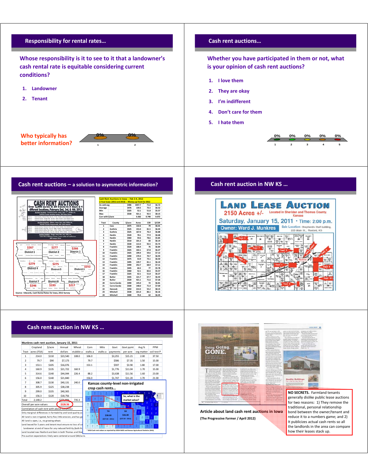

**NO SECRETS.** Farmland tenants generally dislike public lease auctions for two reasons: 1) They remove the traditional, personal relationship bond between the owner/tenant and reduce it to a numbers game; and 2) It publicizes actual cash rents so all the landlords in the area can compare how their leases stack up.

**Article about land cash rent auctions in Iowa**

**(The Progressive Farmer / April 2012)**

|                                                                               | Cropland                                                           | \$/acre | Annual    | Wheat     | Corn            | Milo              | Govt                                    | Govt pymt       | Avg %                                                                                      | PPM         |  |  |  |  |
|-------------------------------------------------------------------------------|--------------------------------------------------------------------|---------|-----------|-----------|-----------------|-------------------|-----------------------------------------|-----------------|--------------------------------------------------------------------------------------------|-------------|--|--|--|--|
| Tract                                                                         | acres (FSA)                                                        | rent    | dollars   | stubble a | stalks a        | stalks a          | payments                                | per acre        | org matter                                                                                 | soil test P |  |  |  |  |
| $\mathbf{1}$                                                                  | 214.0                                                              | \$110   | \$23,540  | 108.0     | 106.0           |                   | \$3,255                                 | \$15.21         | 2.00                                                                                       | 37.50       |  |  |  |  |
| $\overline{2}$                                                                | 79.7                                                               | \$90    | \$7,173   |           | 79.7            |                   | \$586                                   | \$7.35          | 1.50                                                                                       | 15.00       |  |  |  |  |
| 3                                                                             | 153.1                                                              | \$105   | \$16,076  |           | 153.1           |                   | \$597                                   | \$3.90          | 1.80                                                                                       | 17.00       |  |  |  |  |
| 4                                                                             | 160.9                                                              | \$135   | \$21,722  | 160.9     |                 |                   | \$1,776                                 | \$11.04         | 1.70                                                                                       | 15.00       |  |  |  |  |
| 5                                                                             | 314.6                                                              | \$140   | \$44,044  | 226.4     | 88.2            |                   | \$3,638                                 | \$11.56         | 1.60                                                                                       | 23.00       |  |  |  |  |
| 6                                                                             | 156.0                                                              | \$140   | \$21,840  |           | 156.0           |                   | \$1,747                                 | \$11.20         | 1.70                                                                                       | 21.00       |  |  |  |  |
| 240.0<br>\$130<br>\$40,131<br>7<br>308.7<br>Kansas county-level non-irrigated |                                                                    |         |           |           |                 |                   |                                         |                 |                                                                                            |             |  |  |  |  |
| 8                                                                             | 305.9                                                              | \$125   | \$38,238  |           | crop cash rents |                   |                                         |                 |                                                                                            |             |  |  |  |  |
| 9                                                                             | 299.0                                                              | \$135   | \$40,365  |           |                 |                   |                                         |                 |                                                                                            |             |  |  |  |  |
| 10                                                                            | 156.3                                                              | \$120   | \$18,756  |           |                 |                   |                                         | So, what is the |                                                                                            |             |  |  |  |  |
| Total                                                                         | 2.148.2                                                            |         | \$274,084 | 735.3     |                 |                   |                                         | market value?   |                                                                                            |             |  |  |  |  |
|                                                                               | Overall per acre values                                            |         | \$126.56  |           |                 |                   |                                         |                 |                                                                                            |             |  |  |  |  |
|                                                                               | Correlation of cash rent with above columns>                       |         |           |           | z               |                   |                                         |                 |                                                                                            |             |  |  |  |  |
|                                                                               | Only marginal differences in farmability and land quality ac       |         |           |           |                 |                   | <b>TH</b>                               | SD              |                                                                                            |             |  |  |  |  |
|                                                                               | All land is non-irrigated, fairly flat, little erosion, and has go |         |           |           | a               | $(S37.50 - 2011)$ | \$36.00<br>\$38.00<br>$(537.50 - 2011)$ |                 |                                                                                            |             |  |  |  |  |
|                                                                               | All land is open, i.e., no growing wheat.                          |         |           |           | z               |                   |                                         |                 |                                                                                            |             |  |  |  |  |
|                                                                               | Land leased for 5 vears and tenant must ensure no loss of so       |         |           |           |                 |                   |                                         |                 |                                                                                            |             |  |  |  |  |
|                                                                               | landowner at end of lease for any reduced fertility (both N        |         |           |           |                 |                   |                                         |                 |                                                                                            |             |  |  |  |  |
|                                                                               | Land located near Rexford and Gem in both Thomas and Sher          |         |           |           |                 |                   |                                         |                 | * 2010 Cash rent values as reported by USDA NASS and Kansas Agricultural Statistics (KAS). |             |  |  |  |  |
|                                                                               | Pre-auction expectations likely were centered around \$80/acre.    |         |           |           |                 |                   |                                         |                 |                                                                                            |             |  |  |  |  |